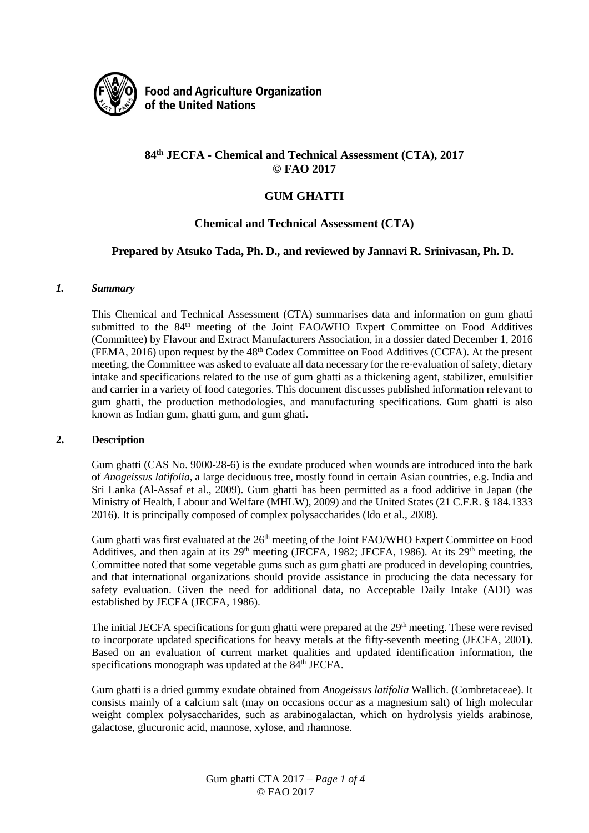

**Food and Agriculture Organization** of the United Nations

# **84th JECFA - Chemical and Technical Assessment (CTA), 2017 © FAO 2017**

# **GUM GHATTI**

### **Chemical and Technical Assessment (CTA)**

### **Prepared by Atsuko Tada, Ph. D., and reviewed by Jannavi R. Srinivasan, Ph. D.**

#### *1. Summary*

This Chemical and Technical Assessment (CTA) summarises data and information on gum ghatti submitted to the 84<sup>th</sup> meeting of the Joint FAO/WHO Expert Committee on Food Additives (Committee) by Flavour and Extract Manufacturers Association, in a dossier dated December 1, 2016 (FEMA, 2016) upon request by the 48th Codex Committee on Food Additives (CCFA). At the present meeting, the Committee was asked to evaluate all data necessary for the re-evaluation of safety, dietary intake and specifications related to the use of gum ghatti as a thickening agent, stabilizer, emulsifier and carrier in a variety of food categories. This document discusses published information relevant to gum ghatti, the production methodologies, and manufacturing specifications. Gum ghatti is also known as Indian gum, ghatti gum, and gum ghati.

#### **2. Description**

Gum ghatti (CAS No. 9000-28-6) is the exudate produced when wounds are introduced into the bark of *Anogeissus latifolia*, a large deciduous tree, mostly found in certain Asian countries, e.g. India and Sri Lanka (Al-Assaf et al., 2009). Gum ghatti has been permitted as a food additive in Japan (the Ministry of Health, Labour and Welfare (MHLW), 2009) and the United States (21 C.F.R. § 184.1333 2016). It is principally composed of complex polysaccharides (Ido et al., 2008).

Gum ghatti was first evaluated at the 26<sup>th</sup> meeting of the Joint FAO/WHO Expert Committee on Food Additives, and then again at its  $29<sup>th</sup>$  meeting (JECFA, 1982; JECFA, 1986). At its  $29<sup>th</sup>$  meeting, the Committee noted that some vegetable gums such as gum ghatti are produced in developing countries, and that international organizations should provide assistance in producing the data necessary for safety evaluation. Given the need for additional data, no Acceptable Daily Intake (ADI) was established by JECFA (JECFA, 1986).

The initial JECFA specifications for gum ghatti were prepared at the 29<sup>th</sup> meeting. These were revised to incorporate updated specifications for heavy metals at the fifty-seventh meeting (JECFA, 2001). Based on an evaluation of current market qualities and updated identification information, the specifications monograph was updated at the 84<sup>th</sup> JECFA.

Gum ghatti is a dried gummy exudate obtained from *Anogeissus latifolia* Wallich. (Combretaceae). It consists mainly of a calcium salt (may on occasions occur as a magnesium salt) of high molecular weight complex polysaccharides, such as arabinogalactan, which on hydrolysis yields arabinose, galactose, glucuronic acid, mannose, xylose, and rhamnose.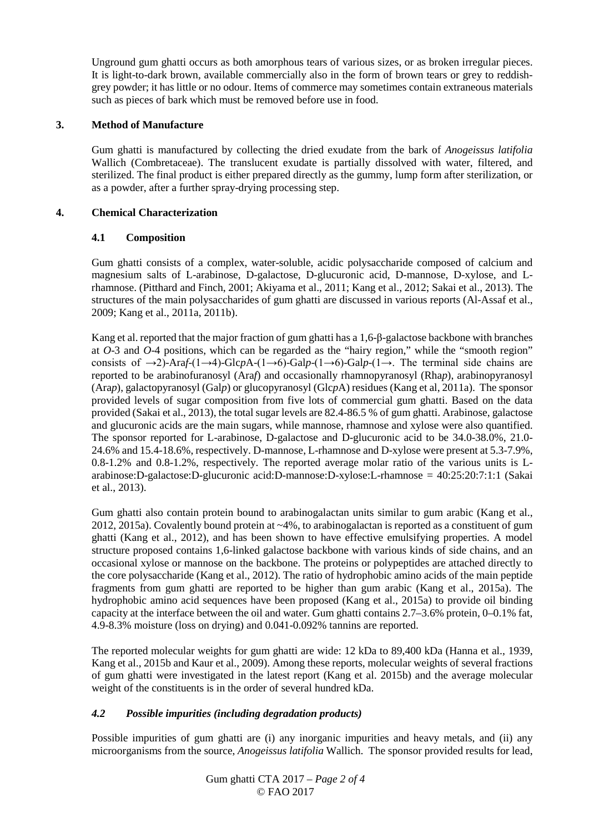Unground gum ghatti occurs as both amorphous tears of various sizes, or as broken irregular pieces. It is light-to-dark brown, available commercially also in the form of brown tears or grey to reddishgrey powder; it has little or no odour. Items of commerce may sometimes contain extraneous materials such as pieces of bark which must be removed before use in food.

#### **3. Method of Manufacture**

Gum ghatti is manufactured by collecting the dried exudate from the bark of *Anogeissus latifolia*  Wallich (Combretaceae). The translucent exudate is partially dissolved with water, filtered, and sterilized. The final product is either prepared directly as the gummy, lump form after sterilization, or as a powder, after a further spray-drying processing step.

#### **4. Chemical Characterization**

### **4.1 Composition**

Gum ghatti consists of a complex, water-soluble, acidic polysaccharide composed of calcium and magnesium salts of L-arabinose, D-galactose, D-glucuronic acid, D-mannose, D-xylose, and Lrhamnose. (Pitthard and Finch, 2001; Akiyama et al., 2011; Kang et al., 2012; Sakai et al., 2013). The structures of the main polysaccharides of gum ghatti are discussed in various reports (Al-Assaf et al., 2009; Kang et al., 2011a, 2011b).

Kang et al. reported that the major fraction of gum ghatti has a 1,6-β-galactose backbone with branches at *O*-3 and *O*-4 positions, which can be regarded as the "hairy region," while the "smooth region" consists of  $\rightarrow$ 2)-Ara*f*-(1→4)-Glc*p*A-(1→6)-Gal*p*-(1→6)-Gal*p*-(1→. The terminal side chains are reported to be arabinofuranosyl (Ara*f*) and occasionally rhamnopyranosyl (Rha*p*), arabinopyranosyl (Ara*p*), galactopyranosyl (Gal*p*) or glucopyranosyl (Glc*p*A) residues (Kang et al, 2011a). The sponsor provided levels of sugar composition from five lots of commercial gum ghatti. Based on the data provided (Sakai et al., 2013), the total sugar levels are 82.4-86.5 % of gum ghatti. Arabinose, galactose and glucuronic acids are the main sugars, while mannose, rhamnose and xylose were also quantified. The sponsor reported for L-arabinose, D-galactose and D-glucuronic acid to be 34.0-38.0%, 21.0- 24.6% and 15.4-18.6%, respectively. D-mannose, L-rhamnose and D-xylose were present at 5.3-7.9%, 0.8-1.2% and 0.8-1.2%, respectively. The reported average molar ratio of the various units is Larabinose:D-galactose:D-glucuronic acid:D-mannose:D-xylose:L-rhamnose = 40:25:20:7:1:1 (Sakai et al., 2013).

Gum ghatti also contain protein bound to arabinogalactan units similar to gum arabic (Kang et al., 2012, 2015a). Covalently bound protein at ~4%, to arabinogalactan is reported as a constituent of gum ghatti (Kang et al., 2012), and has been shown to have effective emulsifying properties. A model structure proposed contains 1,6-linked galactose backbone with various kinds of side chains, and an occasional xylose or mannose on the backbone. The proteins or polypeptides are attached directly to the core polysaccharide (Kang et al., 2012). The ratio of hydrophobic amino acids of the main peptide fragments from gum ghatti are reported to be higher than gum arabic (Kang et al., 2015a). The hydrophobic amino acid sequences have been proposed (Kang et al., 2015a) to provide oil binding capacity at the interface between the oil and water. Gum ghatti contains 2.7–3.6% protein, 0–0.1% fat, 4.9-8.3% moisture (loss on drying) and 0.041-0.092% tannins are reported.

The reported molecular weights for gum ghatti are wide: 12 kDa to 89,400 kDa (Hanna et al., 1939, Kang et al., 2015b and Kaur et al., 2009). Among these reports, molecular weights of several fractions of gum ghatti were investigated in the latest report (Kang et al. 2015b) and the average molecular weight of the constituents is in the order of several hundred kDa.

# *4.2 Possible impurities (including degradation products)*

Possible impurities of gum ghatti are (i) any inorganic impurities and heavy metals, and (ii) any microorganisms from the source, *Anogeissus latifolia* Wallich. The sponsor provided results for lead,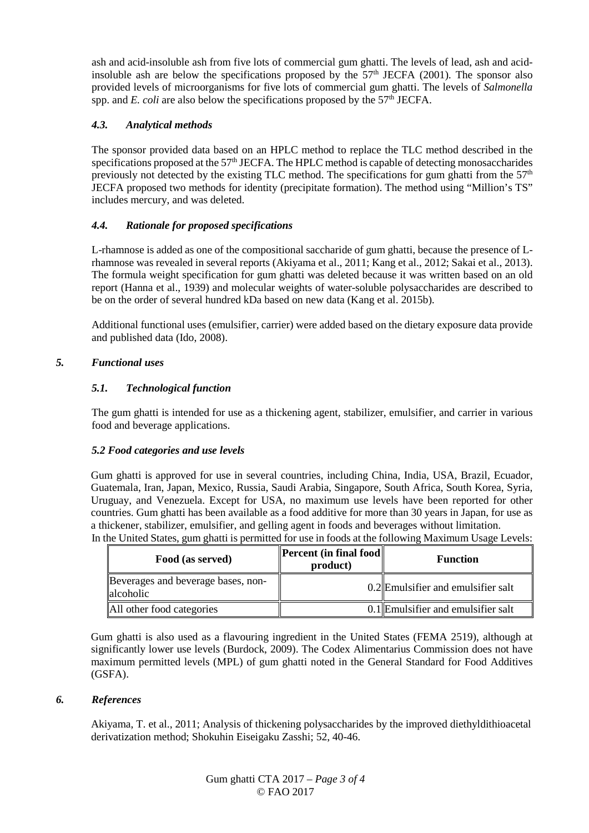ash and acid-insoluble ash from five lots of commercial gum ghatti. The levels of lead, ash and acidinsoluble ash are below the specifications proposed by the  $57<sup>th</sup>$  JECFA (2001). The sponsor also provided levels of microorganisms for five lots of commercial gum ghatti. The levels of *Salmonella* spp. and *E. coli* are also below the specifications proposed by the 57<sup>th</sup> JECFA.

# *4.3. Analytical methods*

The sponsor provided data based on an HPLC method to replace the TLC method described in the specifications proposed at the 57<sup>th</sup> JECFA. The HPLC method is capable of detecting monosaccharides previously not detected by the existing TLC method. The specifications for gum ghatti from the  $57<sup>th</sup>$ JECFA proposed two methods for identity (precipitate formation). The method using "Million's TS" includes mercury, and was deleted.

### *4.4. Rationale for proposed specifications*

L-rhamnose is added as one of the compositional saccharide of gum ghatti, because the presence of Lrhamnose was revealed in several reports (Akiyama et al., 2011; Kang et al., 2012; Sakai et al., 2013). The formula weight specification for gum ghatti was deleted because it was written based on an old report (Hanna et al., 1939) and molecular weights of water-soluble polysaccharides are described to be on the order of several hundred kDa based on new data (Kang et al. 2015b).

Additional functional uses (emulsifier, carrier) were added based on the dietary exposure data provide and published data (Ido, 2008).

# *5. Functional uses*

### *5.1. Technological function*

The gum ghatti is intended for use as a thickening agent, stabilizer, emulsifier, and carrier in various food and beverage applications.

#### *5.2 Food categories and use levels*

Gum ghatti is approved for use in several countries, including China, India, USA, Brazil, Ecuador, Guatemala, Iran, Japan, Mexico, Russia, Saudi Arabia, Singapore, South Africa, South Korea, Syria, Uruguay, and Venezuela. Except for USA, no maximum use levels have been reported for other countries. Gum ghatti has been available as a food additive for more than 30 years in Japan, for use as a thickener, stabilizer, emulsifier, and gelling agent in foods and beverages without limitation. In the United States, gum ghatti is permitted for use in foods at the following Maximum Usage Levels:

| Food (as served)                                | <b>Percent</b> (in final food<br>product) | <b>Function</b>                    |
|-------------------------------------------------|-------------------------------------------|------------------------------------|
| Beverages and beverage bases, non-<br>alcoholic |                                           | 0.2 Emulsifier and emulsifier salt |
| All other food categories                       |                                           | 0.1 Emulsifier and emulsifier salt |

Gum ghatti is also used as a flavouring ingredient in the United States (FEMA 2519), although at significantly lower use levels (Burdock, 2009). The Codex Alimentarius Commission does not have maximum permitted levels (MPL) of gum ghatti noted in the General Standard for Food Additives (GSFA).

#### *6. References*

Akiyama, T. et al., 2011; Analysis of thickening polysaccharides by the improved diethyldithioacetal derivatization method; Shokuhin Eiseigaku Zasshi; 52, 40-46.